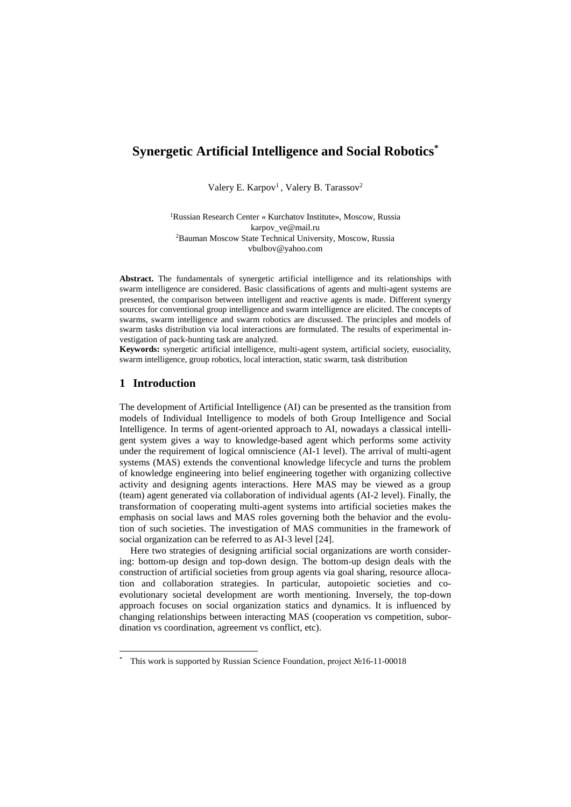# **Synergetic Artificial Intelligence and Social Robotics\***

Valery E. Karpov<sup>1</sup>, Valery B. Tarassov<sup>2</sup>

<sup>1</sup>Russian Research Center « Kurchatov Institute», Moscow, Russia karpov ve@mail.ru <sup>2</sup>Bauman Moscow State Technical University, Moscow, Russia [vbulbov@yahoo.com](mailto:vbulbov@yahoo.com)

**Abstract.** The fundamentals of synergetic artificial intelligence and its relationships with swarm intelligence are considered. Basic classifications of agents and multi-agent systems are presented, the comparison between intelligent and reactive agents is made. Different synergy sources for conventional group intelligence and swarm intelligence are elicited. The concepts of swarms, swarm intelligence and swarm robotics are discussed. The principles and models of swarm tasks distribution via local interactions are formulated. The results of experimental investigation of pack-hunting task are analyzed.

**Keywords:** synergetic artificial intelligence, multi-agent system, artificial society, eusociality, swarm intelligence, group robotics, local interaction, static swarm, task distribution

### **1 Introduction**

 $\overline{a}$ 

The development of Artificial Intelligence (AI) can be presented as the transition from models of Individual Intelligence to models of both Group Intelligence and Social Intelligence. In terms of agent-oriented approach to AI, nowadays a classical intelligent system gives a way to knowledge-based agent which performs some activity under the requirement of logical omniscience (AI-1 level). The arrival of multi-agent systems (MAS) extends the conventional knowledge lifecycle and turns the problem of knowledge engineering into belief engineering together with organizing collective activity and designing agents interactions. Here MAS may be viewed as a group (team) agent generated via collaboration of individual agents (AI-2 level). Finally, the transformation of cooperating multi-agent systems into artificial societies makes the emphasis on social laws and MAS roles governing both the behavior and the evolution of such societies. The investigation of MAS communities in the framework of social organization can be referred to as AI-3 level [24].

Here two strategies of designing artificial social organizations are worth considering: bottom-up design and top-down design. The bottom-up design deals with the construction of artificial societies from group agents via goal sharing, resource allocation and collaboration strategies. In particular, autopoietic societies and coevolutionary societal development are worth mentioning. Inversely, the top-down approach focuses on social organization statics and dynamics. It is influenced by changing relationships between interacting MAS (cooperation vs competition, subordination vs coordination, agreement vs conflict, etc).

This work is supported by Russian Science Foundation, project №16-11-00018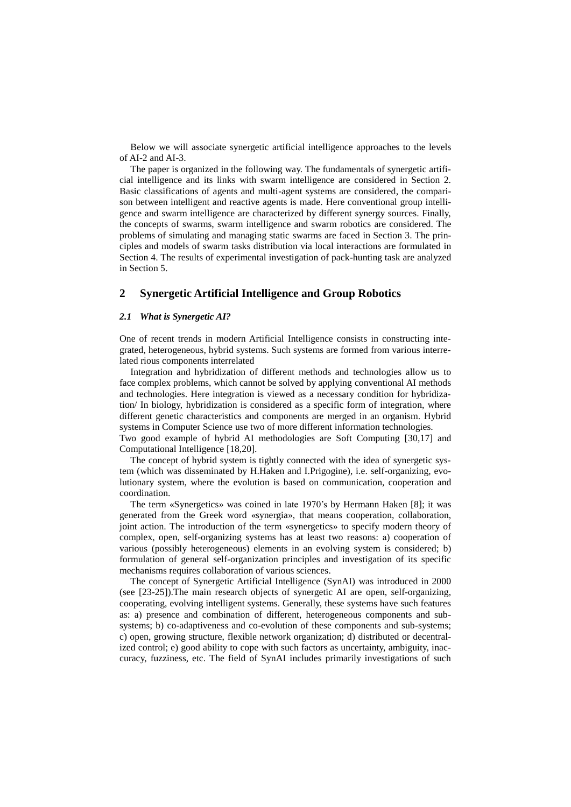Below we will associate synergetic artificial intelligence approaches to the levels of AI-2 and AI-3.

The paper is organized in the following way. The fundamentals of synergetic artificial intelligence and its links with swarm intelligence are considered in Section 2. Basic classifications of agents and multi-agent systems are considered, the comparison between intelligent and reactive agents is made. Here conventional group intelligence and swarm intelligence are characterized by different synergy sources. Finally, the concepts of swarms, swarm intelligence and swarm robotics are considered. The problems of simulating and managing static swarms are faced in Section 3. The principles and models of swarm tasks distribution via local interactions are formulated in Section 4. The results of experimental investigation of pack-hunting task are analyzed in Section 5.

### **2 Synergetic Artificial Intelligence and Group Robotics**

#### *2.1 What is Synergetic AI?*

One of recent trends in modern Artificial Intelligence consists in constructing integrated, heterogeneous, hybrid systems. Such systems are formed from various interrelated rious components interrelated

Integration and hybridization of different methods and technologies allow us to face complex problems, which cannot be solved by applying conventional AI methods and technologies. Here integration is viewed as a necessary condition for hybridization/ In biology, hybridization is considered as a specific form of integration, where different genetic characteristics and components are merged in an organism. Hybrid systems in Computer Science use two of more different information technologies.

Two good example of hybrid AI methodologies are Soft Computing [30,17] and Computational Intelligence [18,20].

The concept of hybrid system is tightly connected with the idea of synergetic system (which was disseminated by H.Haken and I.Prigogine), i.e. self-organizing, evolutionary system, where the evolution is based on communication, cooperation and coordination.

The term «Synergetics» was coined in late 1970's by Hermann Haken [8]; it was generated from the Greek word «synergia», that means cooperation, collaboration, joint action. The introduction of the term «synergetics» to specify modern theory of complex, open, self-organizing systems has at least two reasons: а) cooperation of various (possibly heterogeneous) elements in an evolving system is considered; b) formulation of general self-organization principles and investigation of its specific mechanisms requires collaboration of various sciences.

The concept of Synergetic Artificial Intelligence (SynAI) was introduced in 2000 (see [23-25]).The main research objects of synergetic AI are open, self-organizing, cooperating, evolving intelligent systems. Generally, these systems have such features as: a) presence and combination of different, heterogeneous components and subsystems; b) co-adaptiveness and co-evolution of these components and sub-systems; c) open, growing structure, flexible network organization; d) distributed or decentralized control; e) good ability to cope with such factors as uncertainty, ambiguity, inaccuracy, fuzziness, etc. The field of SynAI includes primarily investigations of such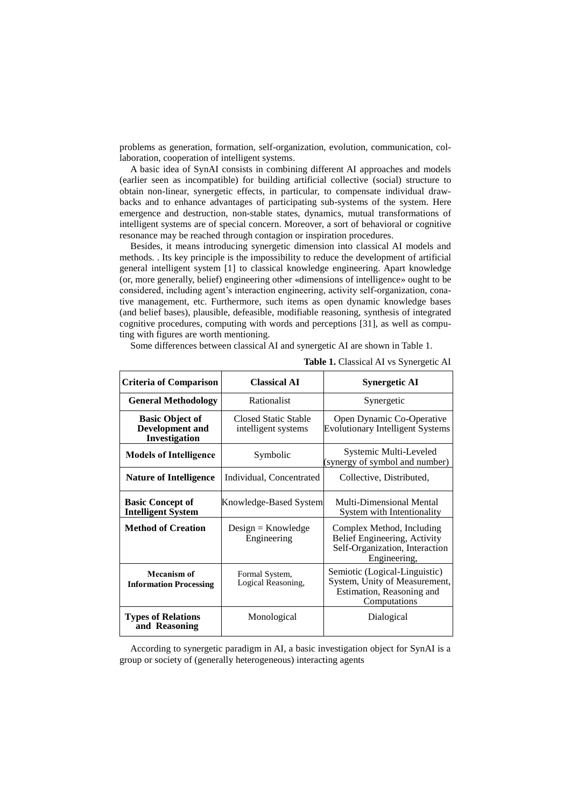problems as generation, formation, self-organization, evolution, communication, collaboration, cooperation of intelligent systems.

A basic idea of SynAI consists in combining different AI approaches and models (earlier seen as incompatible) for building artificial collective (social) structure to obtain non-linear, synergetic effects, in particular, to compensate individual drawbacks and to enhance advantages of participating sub-systems of the system. Here emergence and destruction, non-stable states, dynamics, mutual transformations of intelligent systems are of special concern. Moreover, a sort of behavioral or cognitive resonance may be reached through contagion or inspiration procedures.

Besides, it means introducing synergetic dimension into classical AI models and methods. . Its key principle is the impossibility to reduce the development of artificial general intelligent system [1] to classical knowledge engineering. Apart knowledge (or, more generally, belief) engineering other «dimensions of intelligence» ought to be considered, including agent's interaction engineering, activity self-organization, conative management, etc. Furthermore, such items as open dynamic knowledge bases (and belief bases), plausible, defeasible, modifiable reasoning, synthesis of integrated cognitive procedures, computing with words and perceptions [31], as well as computing with figures are worth mentioning.

Some differences between classical AI and synergetic AI are shown in Table 1.

| <b>Criteria of Comparison</b>                                     | <b>Classical AI</b>                                | <b>Synergetic AI</b>                                                                                        |
|-------------------------------------------------------------------|----------------------------------------------------|-------------------------------------------------------------------------------------------------------------|
| <b>General Methodology</b>                                        | Rationalist                                        | Synergetic                                                                                                  |
| <b>Basic Object of</b><br><b>Development</b> and<br>Investigation | <b>Closed Static Stable</b><br>intelligent systems | Open Dynamic Co-Operative<br><b>Evolutionary Intelligent Systems</b>                                        |
| <b>Models of Intelligence</b>                                     | Symbolic                                           | Systemic Multi-Leveled<br>(synergy of symbol and number)                                                    |
| <b>Nature of Intelligence</b>                                     | Individual, Concentrated                           | Collective, Distributed,                                                                                    |
| <b>Basic Concept of</b><br><b>Intelligent System</b>              | Knowledge-Based System                             | Multi-Dimensional Mental<br>System with Intentionality                                                      |
| <b>Method of Creation</b>                                         | $Design = Knowledge$<br>Engineering                | Complex Method, Including<br>Belief Engineering, Activity<br>Self-Organization, Interaction<br>Engineering, |
| <b>Mecanism of</b><br><b>Information Processing</b>               | Formal System,<br>Logical Reasoning,               | Semiotic (Logical-Linguistic)<br>System, Unity of Measurement,<br>Estimation, Reasoning and<br>Computations |
| <b>Types of Relations</b><br>and Reasoning                        | Monological                                        | Dialogical                                                                                                  |

**Table 1.** Classical AI vs Synergetic AI

According to synergetic paradigm in AI, a basic investigation object for SynAI is a group or society of (generally heterogeneous) interacting agents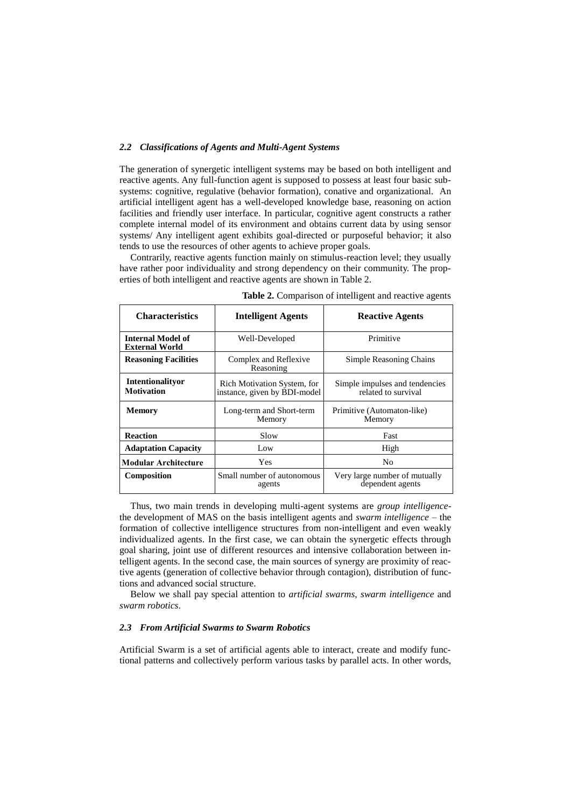#### *2.2 Classifications of Agents and Multi-Agent Systems*

The generation of synergetic intelligent systems may be based on both intelligent and reactive agents. Any full-function agent is supposed to possess at least four basic subsystems: cognitive, regulative (behavior formation), conative and organizational. An artificial intelligent agent has a well-developed knowledge base, reasoning on action facilities and friendly user interface. In particular, cognitive agent constructs a rather complete internal model of its environment and obtains current data by using sensor systems/ Any intelligent agent exhibits goal-directed or purposeful behavior; it also tends to use the resources of other agents to achieve proper goals.

Contrarily, reactive agents function mainly on stimulus-reaction level; they usually have rather poor individuality and strong dependency on their community. The properties of both intelligent and reactive agents are shown in Table 2.

| <b>Characteristics</b>                            | <b>Intelligent Agents</b>                                   | <b>Reactive Agents</b>                                |
|---------------------------------------------------|-------------------------------------------------------------|-------------------------------------------------------|
| <b>Internal Model of</b><br><b>External World</b> | Well-Developed                                              | Primitive                                             |
| <b>Reasoning Facilities</b>                       | Complex and Reflexive<br>Reasoning                          | Simple Reasoning Chains                               |
| Intentionalityor<br><b>Motivation</b>             | Rich Motivation System, for<br>instance, given by BDI-model | Simple impulses and tendencies<br>related to survival |
| <b>Memory</b>                                     | Long-term and Short-term<br>Memory                          | Primitive (Automaton-like)<br>Memory                  |
| <b>Reaction</b>                                   | Slow                                                        | Fast                                                  |
| <b>Adaptation Capacity</b>                        | Low                                                         | High                                                  |
| <b>Modular Architecture</b>                       | <b>Yes</b>                                                  | N <sub>0</sub>                                        |
| Composition                                       | Small number of autonomous<br>agents                        | Very large number of mutually<br>dependent agents     |

**Table 2.** Comparison of intelligent and reactive agents

Thus, two main trends in developing multi-agent systems are *group intelligence*the development of MAS on the basis intelligent agents and *swarm intelligence* – the formation of collective intelligence structures from non-intelligent and even weakly individualized agents. In the first case, we can obtain the synergetic effects through goal sharing, joint use of different resources and intensive collaboration between intelligent agents. In the second case, the main sources of synergy are proximity of reactive agents (generation of collective behavior through contagion), distribution of functions and advanced social structure.

Below we shall pay special attention to *artificial swarms*, *swarm intelligence* and *swarm robotics*.

#### *2.3 From Artificial Swarms to Swarm Robotics*

Artificial Swarm is a set of artificial agents able to interact, create and modify functional patterns and collectively perform various tasks by parallel acts. In other words,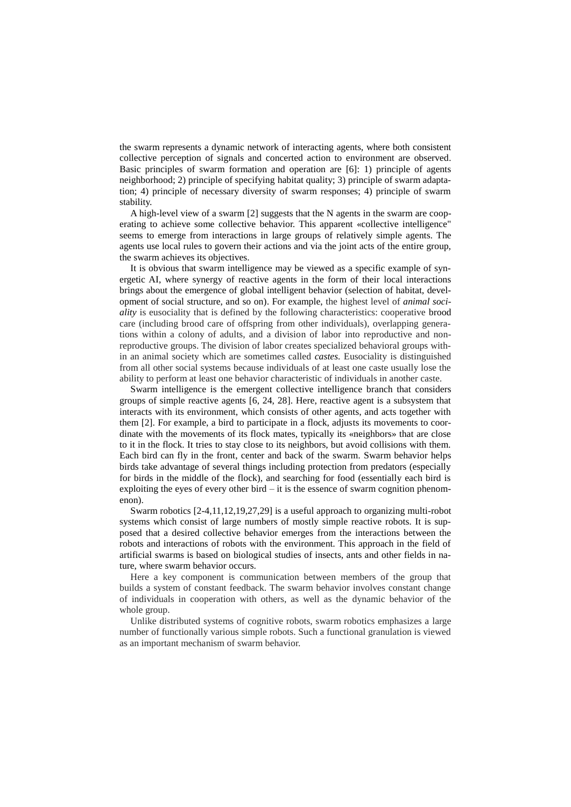the swarm represents a dynamic network of interacting agents, where both consistent collective perception of signals and concerted action to environment are observed. Basic principles of swarm formation and operation are [6]: 1) principle of agents neighborhood; 2) principle of specifying habitat quality; 3) principle of swarm adaptation; 4) principle of necessary diversity of swarm responses; 4) principle of swarm stability.

A high-level view of a swarm [2] suggests that the N agents in the swarm are cooperating to achieve some collective behavior. This apparent «collective intelligence" seems to emerge from interactions in large groups of relatively simple agents. The agents use local rules to govern their actions and via the joint acts of the entire group, the swarm achieves its objectives.

It is obvious that swarm intelligence may be viewed as a specific example of synergetic AI, where synergy of reactive agents in the form of their local interactions brings about the emergence of global intelligent behavior (selection of habitat, development of social structure, and so on). For example, the highest level of *[animal soci](https://en.wikipedia.org/wiki/Animal_sociality)[ality](https://en.wikipedia.org/wiki/Animal_sociality)* is eusociality that is defined by the following characteristics: cooperative [brood](https://en.wikipedia.org/wiki/Offspring) care (including brood care of offspring from other individuals), overlapping generations within a colony of adults, and a division of labor into reproductive and nonreproductive groups. The division of labor creates specialized behavioral groups within an animal society which are sometimes called *[castes.](https://en.wikipedia.org/wiki/Castes)* Eusociality is distinguished from all other social systems because individuals of at least one caste usually lose the ability to perform at least one behavior characteristic of individuals in another caste.

Swarm intelligence is the emergent collective intelligence branch that considers groups of simple reactive agents [6, 24, 28]. Here, reactive agent is a subsystem that interacts with its environment, which consists of other agents, and acts together with them [2]. For example, a bird to participate in a flock, adjusts its movements to coordinate with the movements of its flock mates, typically its «neighbors» that are close to it in the flock. It tries to stay close to its neighbors, but avoid collisions with them. Each bird can fly in the front, center and back of the swarm. Swarm behavior helps birds take advantage of several things including protection from predators (especially for birds in the middle of the flock), and searching for food (essentially each bird is exploiting the eyes of every other bird  $-$  it is the essence of swarm cognition phenomenon).

Swarm robotics [2-4,11,12,19,27,29] is a useful approach to organizing multi-robot systems which consist of large numbers of mostly simple reactive robots. It is supposed that a desired collective behavior emerges from the interactions between the robots and interactions of robots with the environment. This approach in the field of artificial swarms is based on biological studies of insects, ants and other fields in nature, where swarm behavior occurs.

Here a key component is communication between members of the group that builds a system of constant feedback. The swarm behavior involves constant change of individuals in cooperation with others, as well as the dynamic behavior of the whole group.

Unlike distributed systems of cognitive robots, swarm robotics emphasizes a large number of functionally various simple robots. Such a functional granulation is viewed as an important mechanism of swarm behavior.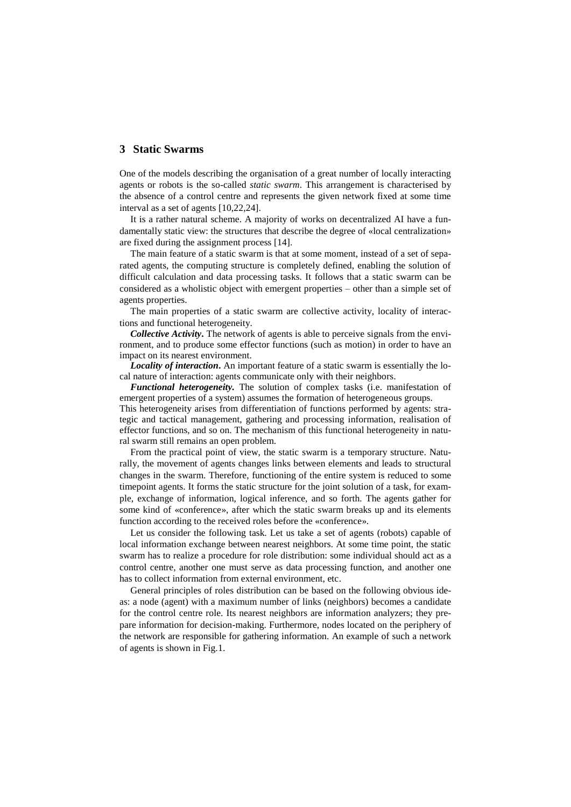### **3 Static Swarms**

One of the models describing the organisation of a great number of locally interacting agents or robots is the so-called *static swarm*. This arrangement is characterised by the absence of a control centre and represents the given network fixed at some time interval as a set of agents [10,22,24].

It is a rather natural scheme. A majority of works on decentralized AI have a fundamentally static view: the structures that describe the degree of «local centralization» are fixed during the assignment process [14].

The main feature of a static swarm is that at some moment, instead of a set of separated agents, the computing structure is completely defined, enabling the solution of difficult calculation and data processing tasks. It follows that a static swarm can be considered as a wholistic object with emergent properties – other than a simple set of agents properties.

The main properties of a static swarm are collective activity, locality of interactions and functional heterogeneity.

*Collective Activity*. The network of agents is able to perceive signals from the environment, and to produce some effector functions (such as motion) in order to have an impact on its nearest environment.

*Locality of interaction*. An important feature of a static swarm is essentially the local nature of interaction: agents communicate only with their neighbors.

*Functional heterogeneity.* The solution of complex tasks (i.e. manifestation of emergent properties of a system) assumes the formation of heterogeneous groups.

This heterogeneity arises from differentiation of functions performed by agents: strategic and tactical management, gathering and processing information, realisation of effector functions, and so on. The mechanism of this functional heterogeneity in natural swarm still remains an open problem.

From the practical point of view, the static swarm is a temporary structure. Naturally, the movement of agents changes links between elements and leads to structural changes in the swarm. Therefore, functioning of the entire system is reduced to some timepoint agents. It forms the static structure for the joint solution of a task, for example, exchange of information, logical inference, and so forth. The agents gather for some kind of «conference», after which the static swarm breaks up and its elements function according to the received roles before the «conference».

Let us consider the following task. Let us take a set of agents (robots) capable of local information exchange between nearest neighbors. At some time point, the static swarm has to realize a procedure for role distribution: some individual should act as a control centre, another one must serve as data processing function, and another one has to collect information from external environment, etc.

General principles of roles distribution can be based on the following obvious ideas: a node (agent) with a maximum number of links (neighbors) becomes a candidate for the control centre role. Its nearest neighbors are information analyzers; they prepare information for decision-making. Furthermore, nodes located on the periphery of the network are responsible for gathering information. An example of such a network of agents is shown in Fig.1.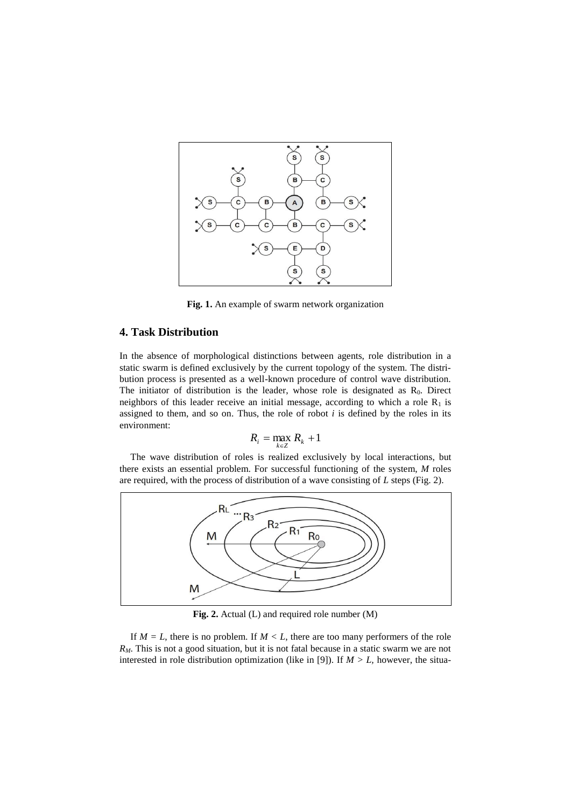

**Fig. 1.** An example of swarm network organization

# **4. Task Distribution**

In the absence of morphological distinctions between agents, role distribution in a static swarm is defined exclusively by the current topology of the system. The distribution process is presented as a well-known procedure of control wave distribution. The initiator of distribution is the leader, whose role is designated as R<sub>0</sub>. Direct neighbors of this leader receive an initial message, according to which a role  $R_1$  is assigned to them, and so on. Thus, the role of robot *i* is defined by the roles in its environment:

$$
R_i = \max_{k \in \mathbb{Z}} R_k + 1
$$

The wave distribution of roles is realized exclusively by local interactions, but there exists an essential problem. For successful functioning of the system, *M* roles are required, with the process of distribution of a wave consisting of *L* steps (Fig. 2).



**Fig. 2.** Actual (L) and required role number (M)

If  $M = L$ , there is no problem. If  $M < L$ , there are too many performers of the role *RM*. This is not a good situation, but it is not fatal because in a static swarm we are not interested in role distribution optimization (like in [9]). If  $M > L$ , however, the situa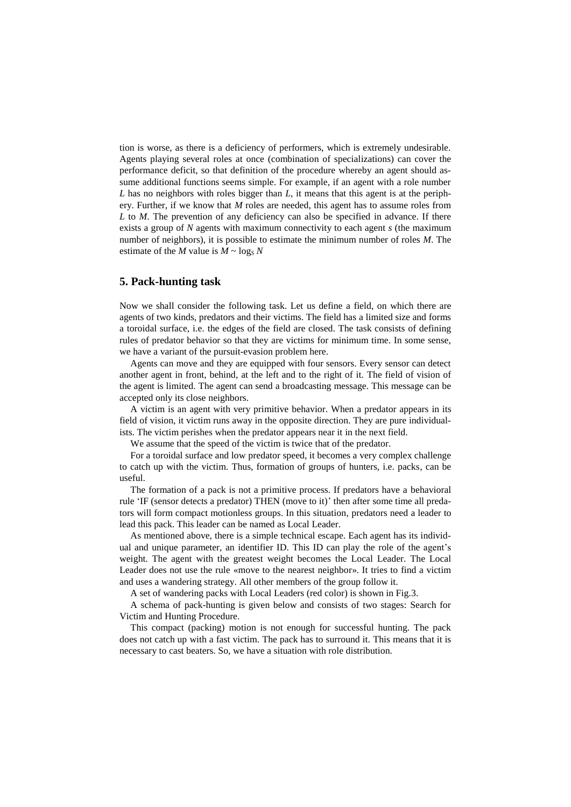tion is worse, as there is a deficiency of performers, which is extremely undesirable. Agents playing several roles at once (combination of specializations) can cover the performance deficit, so that definition of the procedure whereby an agent should assume additional functions seems simple. For example, if an agent with a role number *L* has no neighbors with roles bigger than *L*, it means that this agent is at the periphery. Further, if we know that *M* roles are needed, this agent has to assume roles from *L* to *M*. The prevention of any deficiency can also be specified in advance. If there exists a group of *N* agents with maximum connectivity to each agent *s* (the maximum number of neighbors), it is possible to estimate the minimum number of roles *M*. The estimate of the *M* value is  $M \sim \log_S N$ 

### **5. Pack-hunting task**

Now we shall consider the following task. Let us define a field, on which there are agents of two kinds, predators and their victims. The field has a limited size and forms a toroidal surface, i.e. the edges of the field are closed. The task consists of defining rules of predator behavior so that they are victims for minimum time. In some sense, we have a variant of the pursuit-evasion problem here.

Agents can move and they are equipped with four sensors. Every sensor can detect another agent in front, behind, at the left and to the right of it. The field of vision of the agent is limited. The agent can send a broadcasting message. This message can be accepted only its close neighbors.

A victim is an agent with very primitive behavior. When a predator appears in its field of vision, it victim runs away in the opposite direction. They are pure individualists. The victim perishes when the predator appears near it in the next field.

We assume that the speed of the victim is twice that of the predator.

For a toroidal surface and low predator speed, it becomes a very complex challenge to catch up with the victim. Thus, formation of groups of hunters, i.e. packs, can be useful.

The formation of a pack is not a primitive process. If predators have a behavioral rule 'IF (sensor detects a predator) THEN (move to it)' then after some time all predators will form compact motionless groups. In this situation, predators need a leader to lead this pack. This leader can be named as Local Leader.

As mentioned above, there is a simple technical escape. Each agent has its individual and unique parameter, an identifier ID. This ID can play the role of the agent's weight. The agent with the greatest weight becomes the Local Leader. The Local Leader does not use the rule «move to the nearest neighbor». It tries to find a victim and uses a wandering strategy. All other members of the group follow it.

A set of wandering packs with Local Leaders (red color) is shown in Fig.3.

A schema of pack-hunting is given below and consists of two stages: Search for Victim and Hunting Procedure.

This compact (packing) motion is not enough for successful hunting. The pack does not catch up with a fast victim. The pack has to surround it. This means that it is necessary to cast beaters. So, we have a situation with role distribution.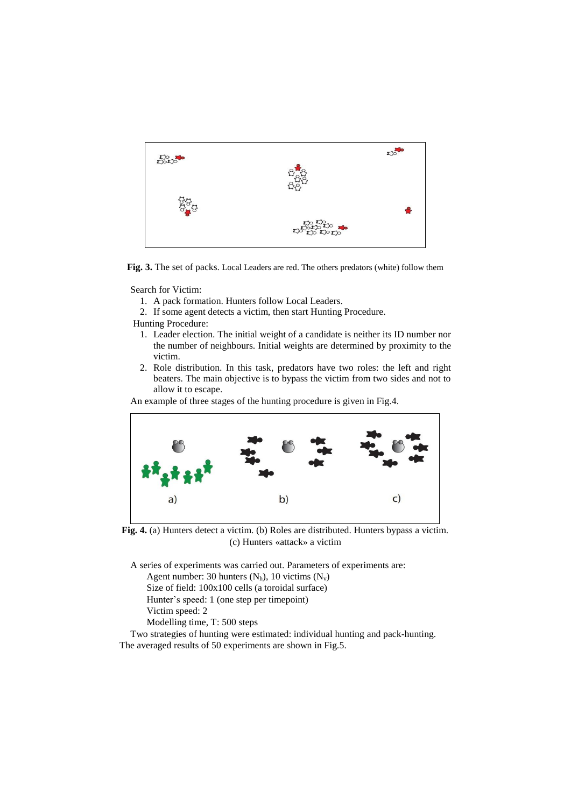

**Fig. 3.** The set of packs. Local Leaders are red. The others predators (white) follow them

Search for Victim:

- 1. A pack formation. Hunters follow Local Leaders.
- 2. If some agent detects a victim, then start Hunting Procedure.

Hunting Procedure:

- 1. Leader election. The initial weight of a candidate is neither its ID number nor the number of neighbours. Initial weights are determined by proximity to the victim.
- 2. Role distribution. In this task, predators have two roles: the left and right beaters. The main objective is to bypass the victim from two sides and not to allow it to escape.

An example of three stages of the hunting procedure is given in Fig.4.



**Fig. 4.** (a) Hunters detect a victim. (b) Roles are distributed. Hunters bypass a victim. (c) Hunters «attack» a victim

A series of experiments was carried out. Parameters of experiments are: Agent number: 30 hunters  $(N_h)$ , 10 victims  $(N_v)$ Size of field: 100x100 cells (a toroidal surface) Hunter's speed: 1 (one step per timepoint) Victim speed: 2 Modelling time, T: 500 steps Two strategies of hunting were estimated: individual hunting and pack-hunting.

The averaged results of 50 experiments are shown in Fig.5.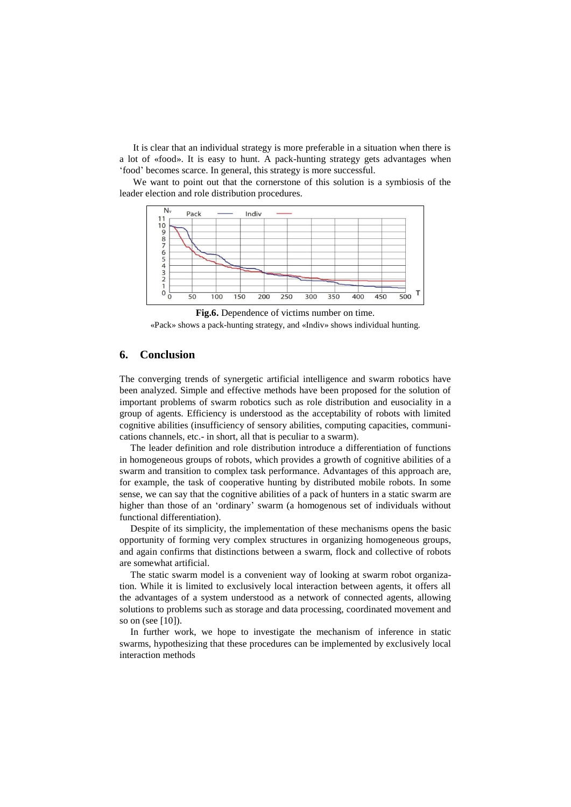It is clear that an individual strategy is more preferable in a situation when there is a lot of «food». It is easy to hunt. A pack-hunting strategy gets advantages when 'food' becomes scarce. In general, this strategy is more successful.

We want to point out that the cornerstone of this solution is a symbiosis of the leader election and role distribution procedures.



**Fig.6.** Dependence of victims number on time. «Pack» shows a pack-hunting strategy, and «Indiv» shows individual hunting.

## **6. Conclusion**

The converging trends of synergetic artificial intelligence and swarm robotics have been analyzed. Simple and effective methods have been proposed for the solution of important problems of swarm robotics such as role distribution and eusociality in a group of agents. Efficiency is understood as the acceptability of robots with limited cognitive abilities (insufficiency of sensory abilities, computing capacities, communications channels, etc.- in short, all that is peculiar to a swarm).

The leader definition and role distribution introduce a differentiation of functions in homogeneous groups of robots, which provides a growth of cognitive abilities of a swarm and transition to complex task performance. Advantages of this approach are, for example, the task of cooperative hunting by distributed mobile robots. In some sense, we can say that the cognitive abilities of a pack of hunters in a static swarm are higher than those of an 'ordinary' swarm (a homogenous set of individuals without functional differentiation).

Despite of its simplicity, the implementation of these mechanisms opens the basic opportunity of forming very complex structures in organizing homogeneous groups, and again confirms that distinctions between a swarm, flock and collective of robots are somewhat artificial.

The static swarm model is a convenient way of looking at swarm robot organization. While it is limited to exclusively local interaction between agents, it offers all the advantages of a system understood as a network of connected agents, allowing solutions to problems such as storage and data processing, coordinated movement and so on (see [10]).

In further work, we hope to investigate the mechanism of inference in static swarms, hypothesizing that these procedures can be implemented by exclusively local interaction methods